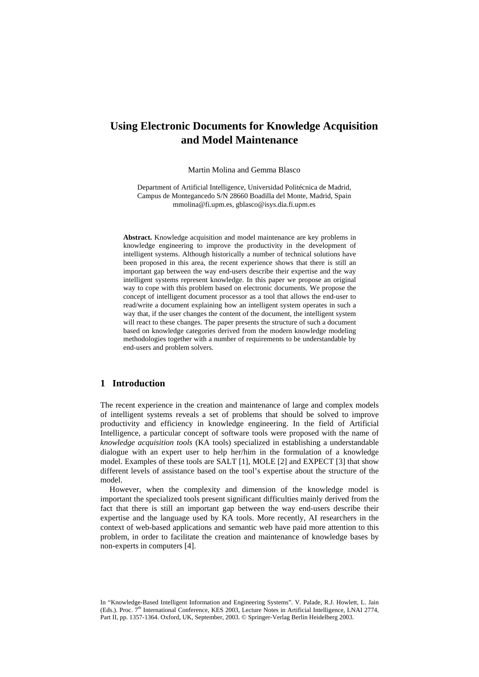# **Using Electronic Documents for Knowledge Acquisition and Model Maintenance**

Martin Molina and Gemma Blasco

Department of Artificial Intelligence, Universidad Politécnica de Madrid, Campus de Montegancedo S/N 28660 Boadilla del Monte, Madrid, Spain [mmolina@fi.upm.es](mailto:mmolina@fi.upm.es), [gblasco@isys.dia.fi.upm.es](mailto:gblasco@isys.dia.fi.upm.es)

**Abstract.** Knowledge acquisition and model maintenance are key problems in knowledge engineering to improve the productivity in the development of intelligent systems. Although historically a number of technical solutions have been proposed in this area, the recent experience shows that there is still an important gap between the way end-users describe their expertise and the way intelligent systems represent knowledge. In this paper we propose an original way to cope with this problem based on electronic documents. We propose the concept of intelligent document processor as a tool that allows the end-user to read/write a document explaining how an intelligent system operates in such a way that, if the user changes the content of the document, the intelligent system will react to these changes. The paper presents the structure of such a document based on knowledge categories derived from the modern knowledge modeling methodologies together with a number of requirements to be understandable by end-users and problem solvers.

## **1 Introduction**

The recent experience in the creation and maintenance of large and complex models of intelligent systems reveals a set of problems that should be solved to improve productivity and efficiency in knowledge engineering. In the field of Artificial Intelligence, a particular concept of software tools were proposed with the name of *knowledge acquisition tools* (KA tools) specialized in establishing a understandable dialogue with an expert user to help her/him in the formulation of a knowledge model. Examples of these tools are SALT [1], MOLE [2] and EXPECT [3] that show different levels of assistance based on the tool's expertise about the structure of the model.

However, when the complexity and dimension of the knowledge model is important the specialized tools present significant difficulties mainly derived from the fact that there is still an important gap between the way end-users describe their expertise and the language used by KA tools. More recently, AI researchers in the context of web-based applications and semantic web have paid more attention to this problem, in order to facilitate the creation and maintenance of knowledge bases by non-experts in computers [4].

In "Knowledge-Based Intelligent Information and Engineering Systems". V. Palade, R.J. Howlett, L. Jain (Eds.). Proc.  $7<sup>th</sup>$  International Conference, KES 2003, Lecture Notes in Artificial Intelligence, LNAI 2774, Part II, pp. 1357-1364. Oxford, UK, September, 2003. © Springer-Verlag Berlin Heidelberg 2003.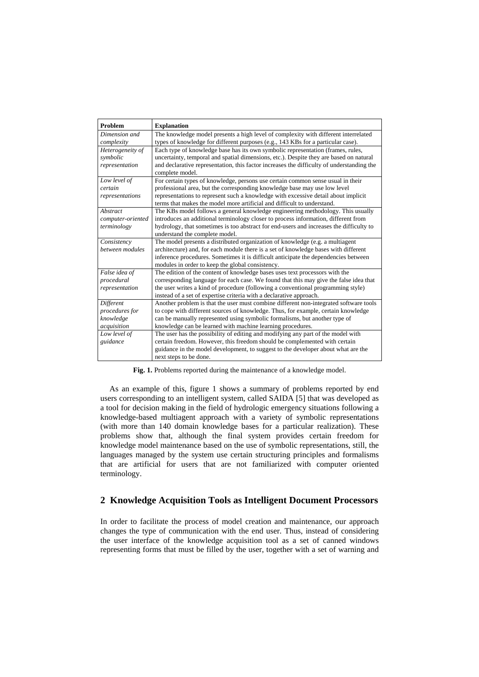| <b>Problem</b>    | <b>Explanation</b>                                                                        |  |  |
|-------------------|-------------------------------------------------------------------------------------------|--|--|
| Dimension and     | The knowledge model presents a high level of complexity with different interrelated       |  |  |
| complexity        | types of knowledge for different purposes (e.g., 143 KBs for a particular case).          |  |  |
| Heterogeneity of  | Each type of knowledge base has its own symbolic representation (frames, rules,           |  |  |
| symbolic          | uncertainty, temporal and spatial dimensions, etc.). Despite they are based on natural    |  |  |
| representation    | and declarative representation, this factor increases the difficulty of understanding the |  |  |
|                   | complete model.                                                                           |  |  |
| Low level of      | For certain types of knowledge, persons use certain common sense usual in their           |  |  |
| certain           | professional area, but the corresponding knowledge base may use low level                 |  |  |
| representations   | representations to represent such a knowledge with excessive detail about implicit        |  |  |
|                   | terms that makes the model more artificial and difficult to understand.                   |  |  |
| Abstract          | The KBs model follows a general knowledge engineering methodology. This usually           |  |  |
| computer-oriented | introduces an additional terminology closer to process information, different from        |  |  |
| terminology       | hydrology, that sometimes is too abstract for end-users and increases the difficulty to   |  |  |
|                   | understand the complete model.                                                            |  |  |
| Consistency       | The model presents a distributed organization of knowledge (e.g. a multiagent             |  |  |
| between modules   | architecture) and, for each module there is a set of knowledge bases with different       |  |  |
|                   | inference procedures. Sometimes it is difficult anticipate the dependencies between       |  |  |
|                   | modules in order to keep the global consistency.                                          |  |  |
| False idea of     | The edition of the content of knowledge bases uses text processors with the               |  |  |
| procedural        | corresponding language for each case. We found that this may give the false idea that     |  |  |
| representation    | the user writes a kind of procedure (following a conventional programming style)          |  |  |
|                   | instead of a set of expertise criteria with a declarative approach.                       |  |  |
| Different         | Another problem is that the user must combine different non-integrated software tools     |  |  |
| procedures for    | to cope with different sources of knowledge. Thus, for example, certain knowledge         |  |  |
| knowledge         | can be manually represented using symbolic formalisms, but another type of                |  |  |
| acquisition       | knowledge can be learned with machine learning procedures.                                |  |  |
| Low level of      | The user has the possibility of editing and modifying any part of the model with          |  |  |
| guidance          | certain freedom. However, this freedom should be complemented with certain                |  |  |
|                   | guidance in the model development, to suggest to the developer about what are the         |  |  |
|                   | next steps to be done.                                                                    |  |  |

**Fig. 1.** Problems reported during the maintenance of a knowledge model.

As an example of this, figure 1 shows a summary of problems reported by end users corresponding to an intelligent system, called SAIDA [5] that was developed as a tool for decision making in the field of hydrologic emergency situations following a knowledge-based multiagent approach with a variety of symbolic representations (with more than 140 domain knowledge bases for a particular realization). These problems show that, although the final system provides certain freedom for knowledge model maintenance based on the use of symbolic representations, still, the languages managed by the system use certain structuring principles and formalisms that are artificial for users that are not familiarized with computer oriented terminology.

## **2 Knowledge Acquisition Tools as Intelligent Document Processors**

In order to facilitate the process of model creation and maintenance, our approach changes the type of communication with the end user. Thus, instead of considering the user interface of the knowledge acquisition tool as a set of canned windows representing forms that must be filled by the user, together with a set of warning and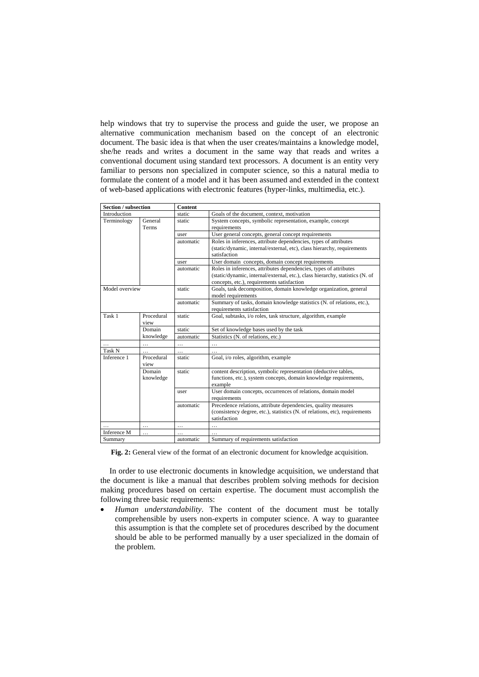help windows that try to supervise the process and guide the user, we propose an alternative communication mechanism based on the concept of an electronic document. The basic idea is that when the user creates/maintains a knowledge model, she/he reads and writes a document in the same way that reads and writes a conventional document using standard text processors. A document is an entity very familiar to persons non specialized in computer science, so this a natural media to formulate the content of a model and it has been assumed and extended in the context of web-based applications with electronic features (hyper-links, multimedia, etc.).

| <b>Section / subsection</b> |                    | <b>Content</b> |                                                                               |  |
|-----------------------------|--------------------|----------------|-------------------------------------------------------------------------------|--|
| Introduction                |                    | static         | Goals of the document, context, motivation                                    |  |
| Terminology                 | General            | static         | System concepts, symbolic representation, example, concept                    |  |
|                             | Terms              |                | requirements                                                                  |  |
|                             |                    | user           | User general concepts, general concept requirements                           |  |
|                             |                    | automatic      | Roles in inferences, attribute dependencies, types of attributes              |  |
|                             |                    |                | (static/dynamic, internal/external, etc), class hierarchy, requirements       |  |
|                             |                    |                | satisfaction                                                                  |  |
|                             |                    | user           | User domain concepts, domain concept requirements                             |  |
|                             |                    | automatic      | Roles in inferences, attributes dependencies, types of attributes             |  |
|                             |                    |                | (static/dynamic, internal/external, etc.), class hierarchy, statistics (N. of |  |
|                             |                    |                | concepts, etc.), requirements satisfaction                                    |  |
| Model overview              |                    | static         | Goals, task decomposition, domain knowledge organization, general             |  |
|                             |                    |                | model requirements                                                            |  |
|                             |                    | automatic      | Summary of tasks, domain knowledge statistics (N. of relations, etc.),        |  |
|                             |                    |                | requirements satisfaction                                                     |  |
| Task 1                      | Procedural<br>view | static         | Goal, subtasks, i/o roles, task structure, algorithm, example                 |  |
|                             | Domain             | static         | Set of knowledge bases used by the task                                       |  |
|                             | knowledge          | automatic      | Statistics (N. of relations, etc.)                                            |  |
| $\cdots$                    | .                  | .              | $\cdots$                                                                      |  |
| Task N                      | $\cdots$           | .              |                                                                               |  |
| Inference 1                 | Procedural<br>view | static         | Goal, i/o roles, algorithm, example                                           |  |
|                             | Domain             | static         | content description, symbolic representation (deductive tables,               |  |
|                             | knowledge          |                | functions, etc.), system concepts, domain knowledge requirements,             |  |
|                             |                    |                | example                                                                       |  |
|                             |                    | user           | User domain concepts, occurrences of relations, domain model                  |  |
|                             |                    |                | requirements                                                                  |  |
|                             |                    | automatic      | Precedence relations, attribute dependencies, quality measures                |  |
|                             |                    |                | (consistency degree, etc.), statistics (N. of relations, etc), requirements   |  |
|                             |                    |                | satisfaction                                                                  |  |
| .                           | .                  | .              | $\cdots$                                                                      |  |
| Inference M                 |                    |                |                                                                               |  |
| Summary                     |                    | automatic      | Summary of requirements satisfaction                                          |  |

**Fig. 2:** General view of the format of an electronic document for knowledge acquisition.

In order to use electronic documents in knowledge acquisition, we understand that the document is like a manual that describes problem solving methods for decision making procedures based on certain expertise. The document must accomplish the following three basic requirements:

• *Human understandability*. The content of the document must be totally comprehensible by users non-experts in computer science. A way to guarantee this assumption is that the complete set of procedures described by the document should be able to be performed manually by a user specialized in the domain of the problem.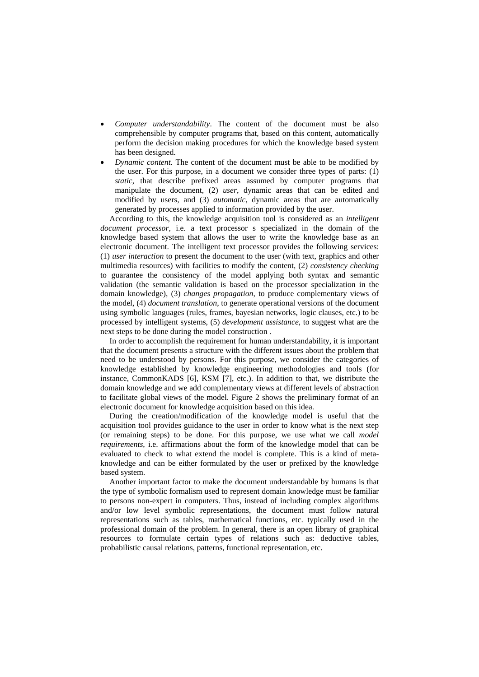- *Computer understandability*. The content of the document must be also comprehensible by computer programs that, based on this content, automatically perform the decision making procedures for which the knowledge based system has been designed.
- *Dynamic content.* The content of the document must be able to be modified by the user. For this purpose, in a document we consider three types of parts: (1) *static*, that describe prefixed areas assumed by computer programs that manipulate the document, (2) *user*, dynamic areas that can be edited and modified by users, and (3) *automatic*, dynamic areas that are automatically generated by processes applied to information provided by the user.

According to this, the knowledge acquisition tool is considered as an *intelligent document processor*, i.e. a text processor s specialized in the domain of the knowledge based system that allows the user to write the knowledge base as an electronic document. The intelligent text processor provides the following services: (1) *user interaction* to present the document to the user (with text, graphics and other multimedia resources) with facilities to modify the content, (2) *consistency checking* to guarantee the consistency of the model applying both syntax and semantic validation (the semantic validation is based on the processor specialization in the domain knowledge), (3) *changes propagation*, to produce complementary views of the model, (4) *document translation*, to generate operational versions of the document using symbolic languages (rules, frames, bayesian networks, logic clauses, etc.) to be processed by intelligent systems, (5) *development assistance*, to suggest what are the next steps to be done during the model construction .

In order to accomplish the requirement for human understandability, it is important that the document presents a structure with the different issues about the problem that need to be understood by persons. For this purpose, we consider the categories of knowledge established by knowledge engineering methodologies and tools (for instance, CommonKADS [6], KSM [7], etc.). In addition to that, we distribute the domain knowledge and we add complementary views at different levels of abstraction to facilitate global views of the model. Figure 2 shows the preliminary format of an electronic document for knowledge acquisition based on this idea.

During the creation/modification of the knowledge model is useful that the acquisition tool provides guidance to the user in order to know what is the next step (or remaining steps) to be done. For this purpose, we use what we call *model requirements*, i.e. affirmations about the form of the knowledge model that can be evaluated to check to what extend the model is complete. This is a kind of metaknowledge and can be either formulated by the user or prefixed by the knowledge based system.

Another important factor to make the document understandable by humans is that the type of symbolic formalism used to represent domain knowledge must be familiar to persons non-expert in computers. Thus, instead of including complex algorithms and/or low level symbolic representations, the document must follow natural representations such as tables, mathematical functions, etc. typically used in the professional domain of the problem. In general, there is an open library of graphical resources to formulate certain types of relations such as: deductive tables, probabilistic causal relations, patterns, functional representation, etc.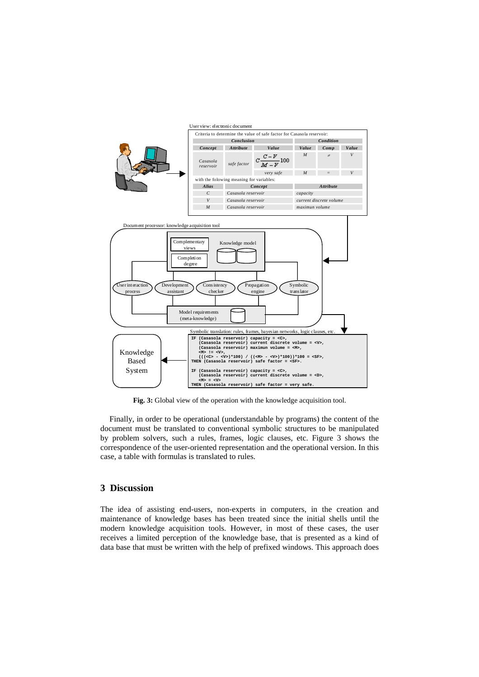

**Fig. 3:** Global view of the operation with the knowledge acquisition tool.

Finally, in order to be operational (understandable by programs) the content of the document must be translated to conventional symbolic structures to be manipulated by problem solvers, such a rules, frames, logic clauses, etc. Figure 3 shows the correspondence of the user-oriented representation and the operational version. In this case, a table with formulas is translated to rules.

# **3 Discussion**

The idea of assisting end-users, non-experts in computers, in the creation and maintenance of knowledge bases has been treated since the initial shells until the modern knowledge acquisition tools. However, in most of these cases, the user receives a limited perception of the knowledge base, that is presented as a kind of data base that must be written with the help of prefixed windows. This approach does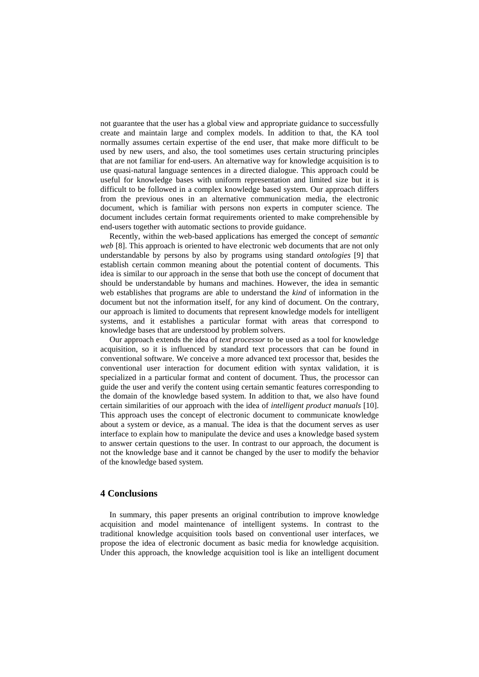not guarantee that the user has a global view and appropriate guidance to successfully create and maintain large and complex models. In addition to that, the KA tool normally assumes certain expertise of the end user, that make more difficult to be used by new users, and also, the tool sometimes uses certain structuring principles that are not familiar for end-users. An alternative way for knowledge acquisition is to use quasi-natural language sentences in a directed dialogue. This approach could be useful for knowledge bases with uniform representation and limited size but it is difficult to be followed in a complex knowledge based system. Our approach differs from the previous ones in an alternative communication media, the electronic document, which is familiar with persons non experts in computer science. The document includes certain format requirements oriented to make comprehensible by end-users together with automatic sections to provide guidance.

Recently, within the web-based applications has emerged the concept of *semantic web* [8]. This approach is oriented to have electronic web documents that are not only understandable by persons by also by programs using standard *ontologies* [9] that establish certain common meaning about the potential content of documents. This idea is similar to our approach in the sense that both use the concept of document that should be understandable by humans and machines. However, the idea in semantic web establishes that programs are able to understand the *kind* of information in the document but not the information itself, for any kind of document. On the contrary, our approach is limited to documents that represent knowledge models for intelligent systems, and it establishes a particular format with areas that correspond to knowledge bases that are understood by problem solvers.

Our approach extends the idea of *text processor* to be used as a tool for knowledge acquisition, so it is influenced by standard text processors that can be found in conventional software. We conceive a more advanced text processor that, besides the conventional user interaction for document edition with syntax validation, it is specialized in a particular format and content of document. Thus, the processor can guide the user and verify the content using certain semantic features corresponding to the domain of the knowledge based system. In addition to that, we also have found certain similarities of our approach with the idea of *intelligent product manuals* [10]. This approach uses the concept of electronic document to communicate knowledge about a system or device, as a manual. The idea is that the document serves as user interface to explain how to manipulate the device and uses a knowledge based system to answer certain questions to the user. In contrast to our approach, the document is not the knowledge base and it cannot be changed by the user to modify the behavior of the knowledge based system.

#### **4 Conclusions**

In summary, this paper presents an original contribution to improve knowledge acquisition and model maintenance of intelligent systems. In contrast to the traditional knowledge acquisition tools based on conventional user interfaces, we propose the idea of electronic document as basic media for knowledge acquisition. Under this approach, the knowledge acquisition tool is like an intelligent document